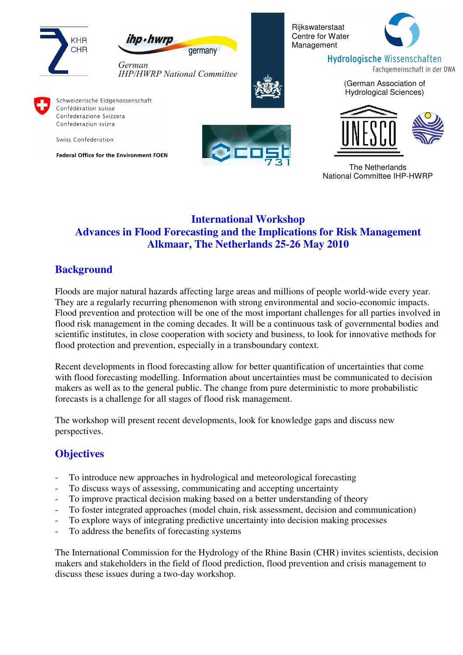



Rijkswaterstaat Centre for Water Management



**Hydrologische Wissenschaften** Fachgemeinschaft in der DWA

> (German Association of Hydrological Sciences)



Schweizerische Eidgenossenschaft Confédération suisse Confederazione Svizzera Confederaziun svizra

Swiss Confederation

Federal Office for the Environment FOEN





The Netherlands National Committee IHP-HWRP

# **International Workshop Advances in Flood Forecasting and the Implications for Risk Management Alkmaar, The Netherlands 25-26 May 2010**

# **Background**

Floods are major natural hazards affecting large areas and millions of people world-wide every year. They are a regularly recurring phenomenon with strong environmental and socio-economic impacts. Flood prevention and protection will be one of the most important challenges for all parties involved in flood risk management in the coming decades. It will be a continuous task of governmental bodies and scientific institutes, in close cooperation with society and business, to look for innovative methods for flood protection and prevention, especially in a transboundary context.

Recent developments in flood forecasting allow for better quantification of uncertainties that come with flood forecasting modelling. Information about uncertainties must be communicated to decision makers as well as to the general public. The change from pure deterministic to more probabilistic forecasts is a challenge for all stages of flood risk management.

The workshop will present recent developments, look for knowledge gaps and discuss new perspectives.

# **Objectives**

- To introduce new approaches in hydrological and meteorological forecasting
- To discuss ways of assessing, communicating and accepting uncertainty
- To improve practical decision making based on a better understanding of theory
- To foster integrated approaches (model chain, risk assessment, decision and communication)
- To explore ways of integrating predictive uncertainty into decision making processes
- To address the benefits of forecasting systems

The International Commission for the Hydrology of the Rhine Basin (CHR) invites scientists, decision makers and stakeholders in the field of flood prediction, flood prevention and crisis management to discuss these issues during a two-day workshop.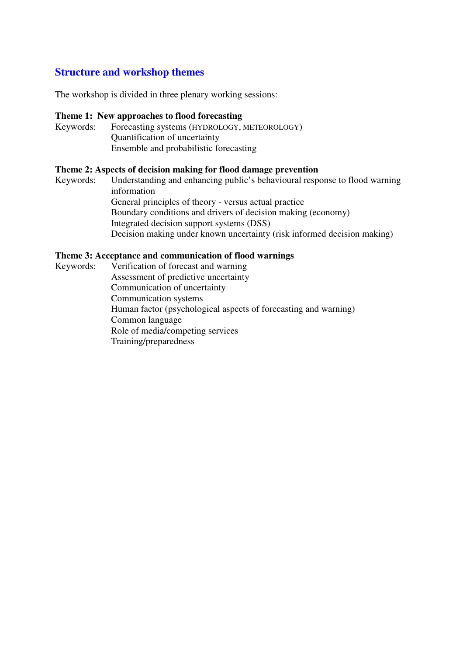#### **Structure and workshop themes**

The workshop is divided in three plenary working sessions:

#### **Theme 1: New approaches to flood forecasting**

Keywords: Forecasting systems (HYDROLOGY, METEOROLOGY) Quantification of uncertainty Ensemble and probabilistic forecasting

#### **Theme 2: Aspects of decision making for flood damage prevention**

Keywords: Understanding and enhancing public's behavioural response to flood warning information General principles of theory - versus actual practice Boundary conditions and drivers of decision making(economy) Integrated decision support systems (DSS) Decision making under known uncertainty (risk informed decision making)

#### **Theme 3: Acceptance and communication of flood warnings**

Keywords: Verification of forecast and warning Assessment of predictive uncertainty Communication of uncertainty Communication systems Human factor (psychological aspects of forecasting and warning) Common language Role of media/competing services Training/preparedness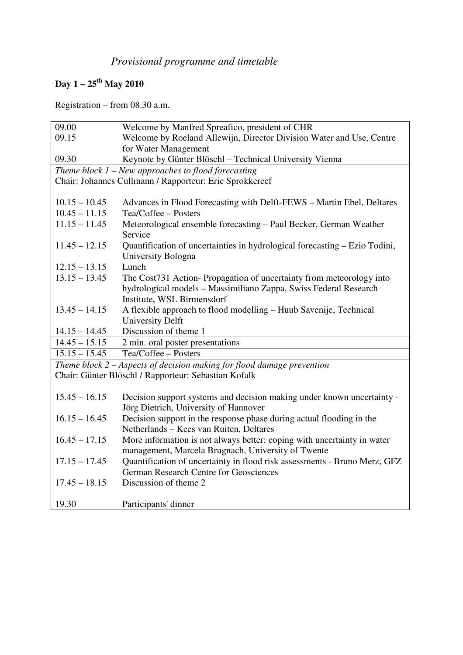# *Provisional programme and timetable*

# **Day 1 – 25th May 2010**

Registration – from 08.30 a.m.

| 09.00                                                                    | Welcome by Manfred Spreafico, president of CHR                             |  |
|--------------------------------------------------------------------------|----------------------------------------------------------------------------|--|
| 09.15                                                                    | Welcome by Roeland Allewijn, Director Division Water and Use, Centre       |  |
|                                                                          |                                                                            |  |
|                                                                          | for Water Management                                                       |  |
| 09.30                                                                    | Keynote by Günter Blöschl - Technical University Vienna                    |  |
| Theme block $1$ – New approaches to flood forecasting                    |                                                                            |  |
| Chair: Johannes Cullmann / Rapporteur: Eric Sprokkereef                  |                                                                            |  |
|                                                                          |                                                                            |  |
| $10.15 - 10.45$                                                          | Advances in Flood Forecasting with Delft-FEWS - Martin Ebel, Deltares      |  |
| $10.45 - 11.15$                                                          | Tea/Coffee - Posters                                                       |  |
| $11.15 - 11.45$                                                          | Meteorological ensemble forecasting - Paul Becker, German Weather          |  |
|                                                                          | Service                                                                    |  |
| $11.45 - 12.15$                                                          | Quantification of uncertainties in hydrological forecasting – Ezio Todini, |  |
|                                                                          | University Bologna                                                         |  |
| $12.15 - 13.15$                                                          | Lunch                                                                      |  |
| $13.15 - 13.45$                                                          | The Cost731 Action-Propagation of uncertainty from meteorology into        |  |
|                                                                          | hydrological models - Massimiliano Zappa, Swiss Federal Research           |  |
|                                                                          | Institute, WSL Birmensdorf                                                 |  |
| $13.45 - 14.15$                                                          | A flexible approach to flood modelling – Huub Savenije, Technical          |  |
|                                                                          | <b>University Delft</b>                                                    |  |
| $14.15 - 14.45$                                                          | Discussion of theme 1                                                      |  |
|                                                                          |                                                                            |  |
| $14.45 - 15.15$                                                          | 2 min. oral poster presentations                                           |  |
| $15.15 - 15.45$                                                          | Tea/Coffee - Posters                                                       |  |
| Theme block $2 -$ Aspects of decision making for flood damage prevention |                                                                            |  |
| Chair: Günter Blöschl / Rapporteur: Sebastian Kofalk                     |                                                                            |  |
|                                                                          |                                                                            |  |
| $15.45 - 16.15$                                                          | Decision support systems and decision making under known uncertainty -     |  |
|                                                                          | Jörg Dietrich, University of Hannover                                      |  |
| $16.15 - 16.45$                                                          | Decision support in the response phase during actual flooding in the       |  |
|                                                                          | Netherlands - Kees van Ruiten, Deltares                                    |  |
| $16.45 - 17.15$                                                          | More information is not always better: coping with uncertainty in water    |  |
|                                                                          | management, Marcela Brugnach, University of Twente                         |  |
| $17.15 - 17.45$                                                          | Quantification of uncertainty in flood risk assessments - Bruno Merz, GFZ  |  |
|                                                                          | <b>German Research Centre for Geosciences</b>                              |  |
| $17.45 - 18.15$                                                          | Discussion of theme 2                                                      |  |
|                                                                          |                                                                            |  |
| 19.30                                                                    | Participants' dinner                                                       |  |
|                                                                          |                                                                            |  |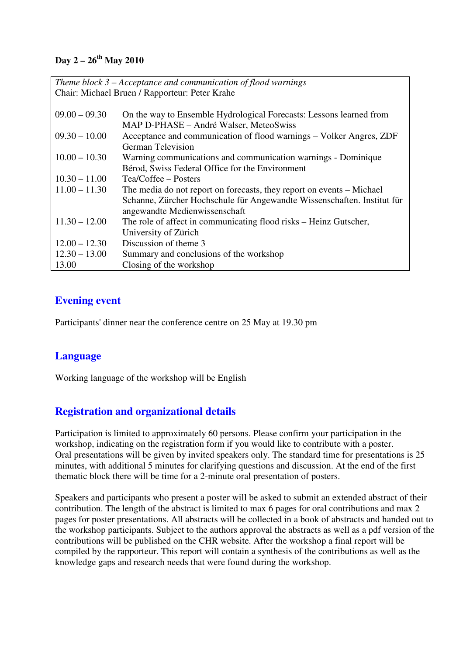#### **Day 2 – 26th May 2010**

| Theme block $3$ – Acceptance and communication of flood warnings |                                                                         |  |
|------------------------------------------------------------------|-------------------------------------------------------------------------|--|
| Chair: Michael Bruen / Rapporteur: Peter Krahe                   |                                                                         |  |
|                                                                  |                                                                         |  |
| $09.00 - 09.30$                                                  | On the way to Ensemble Hydrological Forecasts: Lessons learned from     |  |
|                                                                  | MAP D-PHASE – André Walser, MeteoSwiss                                  |  |
| $09.30 - 10.00$                                                  | Acceptance and communication of flood warnings - Volker Angres, ZDF     |  |
|                                                                  | <b>German Television</b>                                                |  |
| $10.00 - 10.30$                                                  | Warning communications and communication warnings - Dominique           |  |
|                                                                  | Bérod, Swiss Federal Office for the Environment                         |  |
| $10.30 - 11.00$                                                  | Tea/Coffee – Posters                                                    |  |
| $11.00 - 11.30$                                                  | The media do not report on forecasts, they report on events – Michael   |  |
|                                                                  | Schanne, Zürcher Hochschule für Angewandte Wissenschaften. Institut für |  |
|                                                                  | angewandte Medienwissenschaft                                           |  |
| $11.30 - 12.00$                                                  | The role of affect in communicating flood risks – Heinz Gutscher,       |  |
|                                                                  | University of Zürich                                                    |  |
| $12.00 - 12.30$                                                  | Discussion of theme 3                                                   |  |
| $12.30 - 13.00$                                                  | Summary and conclusions of the workshop                                 |  |
| 13.00                                                            | Closing of the workshop                                                 |  |

# **Evening event**

Participants' dinner near the conference centre on 25 May at 19.30 pm

# **Language**

Working language of the workshop will be English

# **Registration and organizational details**

Participation is limited to approximately 60 persons. Please confirm your participation in the workshop, indicating on the registration form if you would like to contribute with a poster. Oral presentations will be given by invited speakers only. The standard time for presentations is 25 minutes, with additional 5 minutes for clarifying questions and discussion. At the end of the first thematic block there will be time for a 2-minute oral presentation of posters.

Speakers and participants who present a poster will be asked to submit an extended abstract of their contribution. The length of the abstract is limited to max 6 pages for oral contributions and max 2 pages for poster presentations. All abstracts will be collected in a book of abstracts and handed out to the workshop participants. Subject to the authors approval the abstracts as well as a pdf version of the contributions will be published on the CHR website. After the workshop a final report will be compiled by the rapporteur. This report will contain a synthesis of the contributions as well as the knowledge gaps and research needs that were found during the workshop.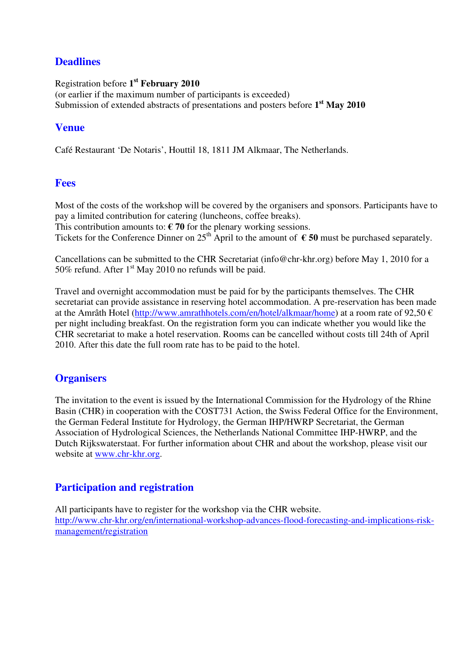### **Deadlines**

Registration before **1 st February 2010** (or earlier if the maximum number of participants is exceeded) Submission of extended abstracts of presentations and posters before **1 st May 2010**

### **Venue**

Café Restaurant 'De Notaris', Houttil 18, 1811 JM Alkmaar, The Netherlands.

#### **Fees**

Most of the costs of the workshop will be covered by the organisers and sponsors. Participants have to pay a limited contribution for catering (luncheons, coffee breaks).

This contribution amounts to:  $\epsilon$  70 for the plenary working sessions.

Tickets for the Conference Dinner on  $25^{\text{th}}$  April to the amount of  $\epsilon$  50 must be purchased separately.

Cancellations can be submitted to the CHR Secretariat (info@chr-khr.org) before May 1, 2010 for a 50% refund. After  $1<sup>st</sup>$  May 2010 no refunds will be paid.

Travel and overnight accommodation must be paid for by the participants themselves. The CHR secretariat can provide assistance in reserving hotel accommodation. A pre-reservation has been made at the Amrâth Hotel (http://www.amrathhotels.com/en/hotel/alkmaar/home) at a room rate of 92,50 € per night including breakfast. On the registration form you can indicate whether you would like the CHR secretariat to make a hotel reservation. Rooms can be cancelled without costs till 24th of April 2010. After this date the full room rate has to be paid to the hotel.

#### **Organisers**

The invitation to the event is issued by the International Commission for the Hydrology of the Rhine Basin (CHR) in cooperation with the COST731 Action, the Swiss Federal Office for the Environment, the German Federal Institute for Hydrology, the German IHP/HWRP Secretariat, the German Association of Hydrological Sciences, the Netherlands National Committee IHP-HWRP, and the Dutch Rijkswaterstaat. For further information about CHR and about the workshop, please visit our website at www.chr-khr.org.

# **Participation and registration**

All participants have to register for the workshop via the CHR website. http://www.chr-khr.org/en/international-workshop-advances-flood-forecasting-and-implications-riskmanagement/registration